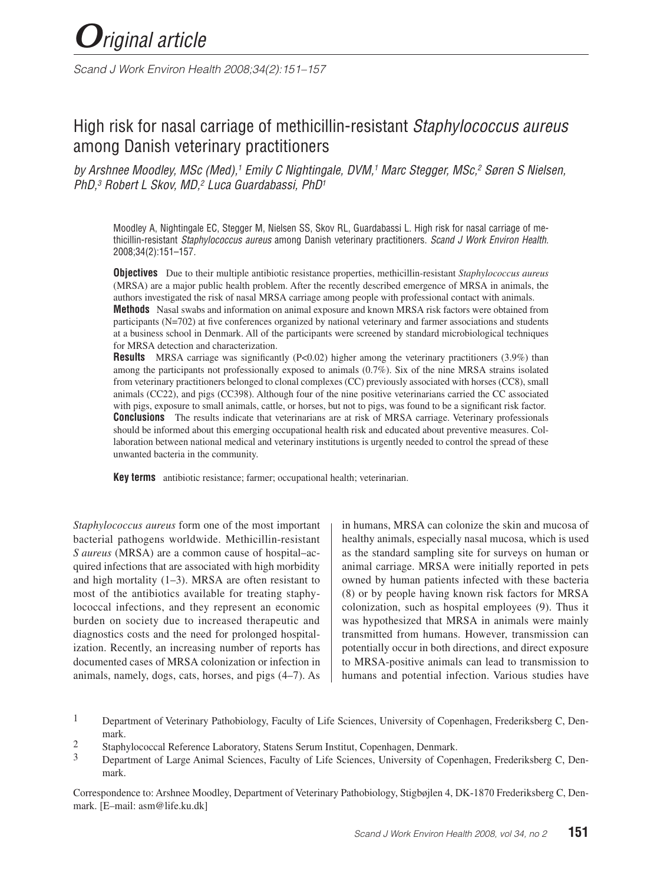*Scand J Work Environ Health 2008;34(2):151–157*

# High risk for nasal carriage of methicillin-resistant *Staphylococcus aureus*  among Danish veterinary practitioners

*by Arshnee Moodley, MSc (Med),1 Emily C Nightingale, DVM,1 Marc Stegger, MSc,2 Søren S Nielsen, PhD,3 Robert L Skov, MD,2 Luca Guardabassi, PhD1*

Moodley A, Nightingale EC, Stegger M, Nielsen SS, Skov RL, Guardabassi L. High risk for nasal carriage of methicillin-resistant *Staphylococcus aureus* among Danish veterinary practitioners. *Scand J Work Environ Health.*  2008;34(2):151–157*.*

**Objectives** Due to their multiple antibiotic resistance properties, methicillin-resistant *Staphylococcus aureus*  (MRSA) are a major public health problem. After the recently described emergence of MRSA in animals, the authors investigated the risk of nasal MRSA carriage among people with professional contact with animals. **Methods** Nasal swabs and information on animal exposure and known MRSA risk factors were obtained from participants (N=702) at five conferences organized by national veterinary and farmer associations and students at a business school in Denmark. All of the participants were screened by standard microbiological techniques for MRSA detection and characterization.

**Results** MRSA carriage was significantly (P<0.02) higher among the veterinary practitioners (3.9%) than among the participants not professionally exposed to animals (0.7%). Six of the nine MRSA strains isolated from veterinary practitioners belonged to clonal complexes (CC) previously associated with horses (CC8), small animals (CC22), and pigs (CC398). Although four of the nine positive veterinarians carried the CC associated with pigs, exposure to small animals, cattle, or horses, but not to pigs, was found to be a significant risk factor. **Conclusions** The results indicate that veterinarians are at risk of MRSA carriage. Veterinary professionals should be informed about this emerging occupational health risk and educated about preventive measures. Collaboration between national medical and veterinary institutions is urgently needed to control the spread of these unwanted bacteria in the community.

**Key terms** antibiotic resistance; farmer; occupational health; veterinarian.

*Staphylococcus aureus* form one of the most important bacterial pathogens worldwide. Methicillin-resistant *S aureus* (MRSA) are a common cause of hospital–acquired infections that are associated with high morbidity and high mortality  $(1-3)$ . MRSA are often resistant to most of the antibiotics available for treating staphylococcal infections, and they represent an economic burden on society due to increased therapeutic and diagnostics costs and the need for prolonged hospitalization. Recently, an increasing number of reports has documented cases of MRSA colonization or infection in animals, namely, dogs, cats, horses, and pigs (4–7). As in humans, MRSA can colonize the skin and mucosa of healthy animals, especially nasal mucosa, which is used as the standard sampling site for surveys on human or animal carriage. MRSA were initially reported in pets owned by human patients infected with these bacteria (8) or by people having known risk factors for MRSA colonization, such as hospital employees (9). Thus it was hypothesized that MRSA in animals were mainly transmitted from humans. However, transmission can potentially occur in both directions, and direct exposure to MRSA-positive animals can lead to transmission to humans and potential infection. Various studies have

2 Staphylococcal Reference Laboratory, Statens Serum Institut, Copenhagen, Denmark.<br>3 Department of Large Animal Sciences, Feaulty of Life Sciences, University of Cope

Correspondence to: Arshnee Moodley, Department of Veterinary Pathobiology, Stigbøjlen 4, DK-1870 Frederiksberg C, Denmark. [E–mail: asm@life.ku.dk]

<sup>&</sup>lt;sup>1</sup> Department of Veterinary Pathobiology, Faculty of Life Sciences, University of Copenhagen, Frederiksberg C, Denmark.

<sup>3</sup> Department of Large Animal Sciences, Faculty of Life Sciences, University of Copenhagen, Frederiksberg C, Denmark.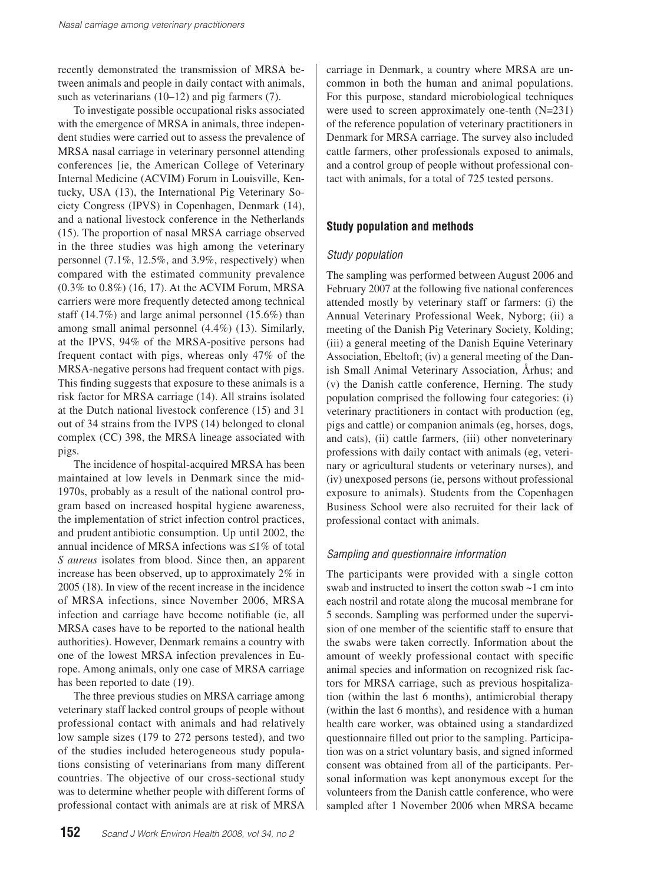recently demonstrated the transmission of MRSA between animals and people in daily contact with animals, such as veterinarians (10–12) and pig farmers (7).

To investigate possible occupational risks associated with the emergence of MRSA in animals, three independent studies were carried out to assess the prevalence of MRSA nasal carriage in veterinary personnel attending conferences [ie, the American College of Veterinary Internal Medicine (ACVIM) Forum in Louisville, Kentucky, USA (13), the International Pig Veterinary Society Congress (IPVS) in Copenhagen, Denmark (14), and a national livestock conference in the Netherlands (15). The proportion of nasal MRSA carriage observed in the three studies was high among the veterinary personnel (7.1%, 12.5%, and 3.9%, respectively) when compared with the estimated community prevalence (0.3% to 0.8%) (16, 17). At the ACVIM Forum, MRSA carriers were more frequently detected among technical staff (14.7%) and large animal personnel (15.6%) than among small animal personnel (4.4%) (13). Similarly, at the IPVS, 94% of the MRSA-positive persons had frequent contact with pigs, whereas only 47% of the MRSA-negative persons had frequent contact with pigs. This finding suggests that exposure to these animals is a risk factor for MRSA carriage (14). All strains isolated at the Dutch national livestock conference (15) and 31 out of 34 strains from the IVPS (14) belonged to clonal complex (CC) 398, the MRSA lineage associated with pigs.

The incidence of hospital-acquired MRSA has been maintained at low levels in Denmark since the mid-1970s, probably as a result of the national control program based on increased hospital hygiene awareness, the implementation of strict infection control practices, and prudent antibiotic consumption. Up until 2002, the annual incidence of MRSA infections was ≤1% of total *S aureus* isolates from blood. Since then, an apparent increase has been observed, up to approximately 2% in 2005 (18). In view of the recent increase in the incidence of MRSA infections, since November 2006, MRSA infection and carriage have become notifiable (ie, all MRSA cases have to be reported to the national health authorities). However, Denmark remains a country with one of the lowest MRSA infection prevalences in Europe. Among animals, only one case of MRSA carriage has been reported to date (19).

The three previous studies on MRSA carriage among veterinary staff lacked control groups of people without professional contact with animals and had relatively low sample sizes (179 to 272 persons tested), and two of the studies included heterogeneous study populations consisting of veterinarians from many different countries. The objective of our cross-sectional study was to determine whether people with different forms of professional contact with animals are at risk of MRSA

**152** *Scand <sup>J</sup> Work Environ Health 2008, vol 34, no <sup>2</sup>*

carriage in Denmark, a country where MRSA are uncommon in both the human and animal populations. For this purpose, standard microbiological techniques were used to screen approximately one-tenth (N=231) of the reference population of veterinary practitioners in Denmark for MRSA carriage. The survey also included cattle farmers, other professionals exposed to animals, and a control group of people without professional contact with animals, for a total of 725 tested persons.

# **Study population and methods**

## *Study population*

The sampling was performed between August 2006 and February 2007 at the following five national conferences attended mostly by veterinary staff or farmers: (i) the Annual Veterinary Professional Week, Nyborg; (ii) a meeting of the Danish Pig Veterinary Society, Kolding; (iii) a general meeting of the Danish Equine Veterinary Association, Ebeltoft; (iv) a general meeting of the Danish Small Animal Veterinary Association, Århus; and (v) the Danish cattle conference, Herning. The study population comprised the following four categories: (i) veterinary practitioners in contact with production (eg, pigs and cattle) or companion animals (eg, horses, dogs, and cats), (ii) cattle farmers, (iii) other nonveterinary professions with daily contact with animals (eg, veterinary or agricultural students or veterinary nurses), and (iv) unexposed persons (ie, persons without professional exposure to animals). Students from the Copenhagen Business School were also recruited for their lack of professional contact with animals.

## *Sampling and questionnaire information*

The participants were provided with a single cotton swab and instructed to insert the cotton swab ~1 cm into each nostril and rotate along the mucosal membrane for 5 seconds. Sampling was performed under the supervision of one member of the scientific staff to ensure that the swabs were taken correctly. Information about the amount of weekly professional contact with specific animal species and information on recognized risk factors for MRSA carriage, such as previous hospitalization (within the last 6 months), antimicrobial therapy (within the last 6 months), and residence with a human health care worker, was obtained using a standardized questionnaire filled out prior to the sampling. Participation was on a strict voluntary basis, and signed informed consent was obtained from all of the participants. Personal information was kept anonymous except for the volunteers from the Danish cattle conference, who were sampled after 1 November 2006 when MRSA became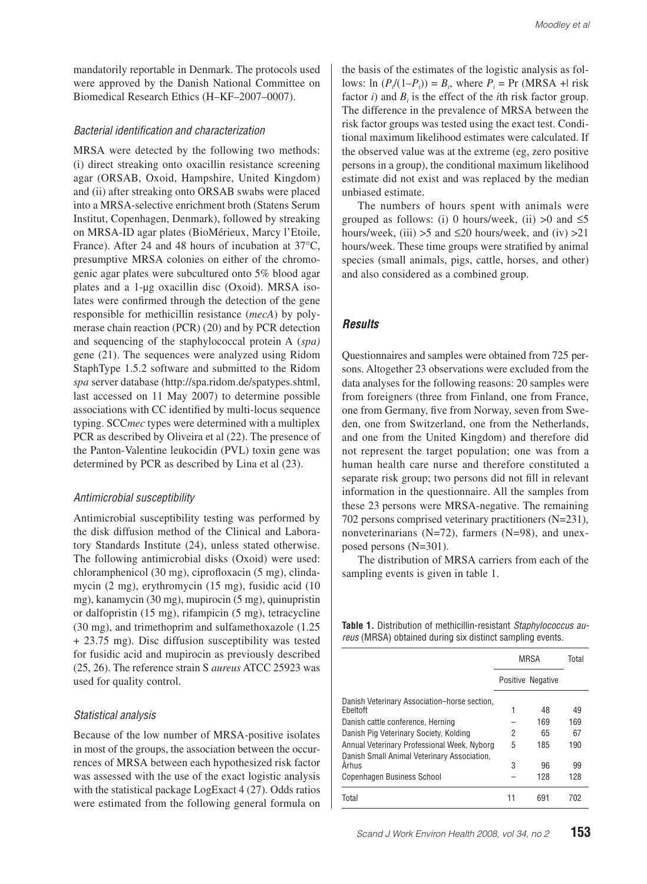mandatorily reportable in Denmark. The protocols used were approved by the Danish National Committee on Biomedical Research Ethics (H–KF–2007–0007).

#### *Bacterial identification and characterization*

MRSA were detected by the following two methods: (i) direct streaking onto oxacillin resistance screening agar (ORSAB, Oxoid, Hampshire, United Kingdom) and (ii) after streaking onto ORSAB swabs were placed into a MRSA-selective enrichment broth (Statens Serum Institut, Copenhagen, Denmark), followed by streaking on MRSA-ID agar plates (BioMérieux, Marcy l'Etoile, France). After 24 and 48 hours of incubation at 37°C, presumptive MRSA colonies on either of the chromogenic agar plates were subcultured onto 5% blood agar plates and a 1-μg oxacillin disc (Oxoid). MRSA isolates were confirmed through the detection of the gene responsible for methicillin resistance (*mecA*) by polymerase chain reaction (PCR) (20) and by PCR detection and sequencing of the staphylococcal protein A (*spa)* gene (21). The sequences were analyzed using Ridom StaphType 1.5.2 software and submitted to the Ridom *spa* server database (http://spa.ridom.de/spatypes.shtml, last accessed on 11 May 2007) to determine possible associations with CC identified by multi-locus sequence typing. SCC*mec* types were determined with a multiplex PCR as described by Oliveira et al (22). The presence of the Panton-Valentine leukocidin (PVL) toxin gene was determined by PCR as described by Lina et al (23).

#### *Antimicrobial susceptibility*

Antimicrobial susceptibility testing was performed by the disk diffusion method of the Clinical and Laboratory Standards Institute (24), unless stated otherwise. The following antimicrobial disks (Oxoid) were used: chloramphenicol (30 mg), ciprofloxacin (5 mg), clindamycin (2 mg), erythromycin (15 mg), fusidic acid (10 mg), kanamycin (30 mg), mupirocin (5 mg), quinupristin or dalfopristin (15 mg), rifampicin (5 mg), tetracycline (30 mg), and trimethoprim and sulfamethoxazole (1.25 + 23.75 mg). Disc diffusion susceptibility was tested for fusidic acid and mupirocin as previously described (25, 26). The reference strain S *aureus* ATCC 25923 was used for quality control.

#### *Statistical analysis*

Because of the low number of MRSA-positive isolates in most of the groups, the association between the occurrences of MRSA between each hypothesized risk factor was assessed with the use of the exact logistic analysis with the statistical package LogExact 4 (27). Odds ratios were estimated from the following general formula on the basis of the estimates of the logistic analysis as follows:  $\ln(P_i/(1-P_i)) = B_i$ , where  $P_i = \Pr(MRSA + l \text{ risk})$ factor *i*) and  $B_i$  is the effect of the *i*th risk factor group. The difference in the prevalence of MRSA between the risk factor groups was tested using the exact test. Conditional maximum likelihood estimates were calculated. If the observed value was at the extreme (eg, zero positive persons in a group), the conditional maximum likelihood estimate did not exist and was replaced by the median unbiased estimate.

The numbers of hours spent with animals were grouped as follows: (i) 0 hours/week, (ii)  $>0$  and  $\leq 5$ hours/week, (iii)  $>5$  and  $\leq 20$  hours/week, and (iv)  $>21$ hours/week. These time groups were stratified by animal species (small animals, pigs, cattle, horses, and other) and also considered as a combined group.

# *Results*

Questionnaires and samples were obtained from 725 persons. Altogether 23 observations were excluded from the data analyses for the following reasons: 20 samples were from foreigners (three from Finland, one from France, one from Germany, five from Norway, seven from Sweden, one from Switzerland, one from the Netherlands, and one from the United Kingdom) and therefore did not represent the target population; one was from a human health care nurse and therefore constituted a separate risk group; two persons did not fill in relevant information in the questionnaire. All the samples from these 23 persons were MRSA-negative. The remaining 702 persons comprised veterinary practitioners (N=231), nonveterinarians (N=72), farmers (N=98), and unexposed persons (N=301).

The distribution of MRSA carriers from each of the sampling events is given in table 1.

**Table 1.** Distribution of methicillin-resistant *Staphylococcus aureus* (MRSA) obtained during six distinct sampling events.

|                                                          | MRSA |                   | Total |
|----------------------------------------------------------|------|-------------------|-------|
|                                                          |      | Positive Negative |       |
| Danish Veterinary Association-horse section,<br>Ebeltoft | 1    | 48                | 49    |
| Danish cattle conference. Herning                        |      | 169               | 169   |
| Danish Pig Veterinary Society, Kolding                   | 2    | 65                | 67    |
| Annual Veterinary Professional Week, Nyborg              | 5    | 185               | 190   |
| Danish Small Animal Veterinary Association,              |      |                   |       |
| <b>Arhus</b>                                             | 3    | 96                | 99    |
| <b>Copenhagen Business School</b>                        |      | 128               | 128   |
| Total                                                    | 11   | 691               | 702   |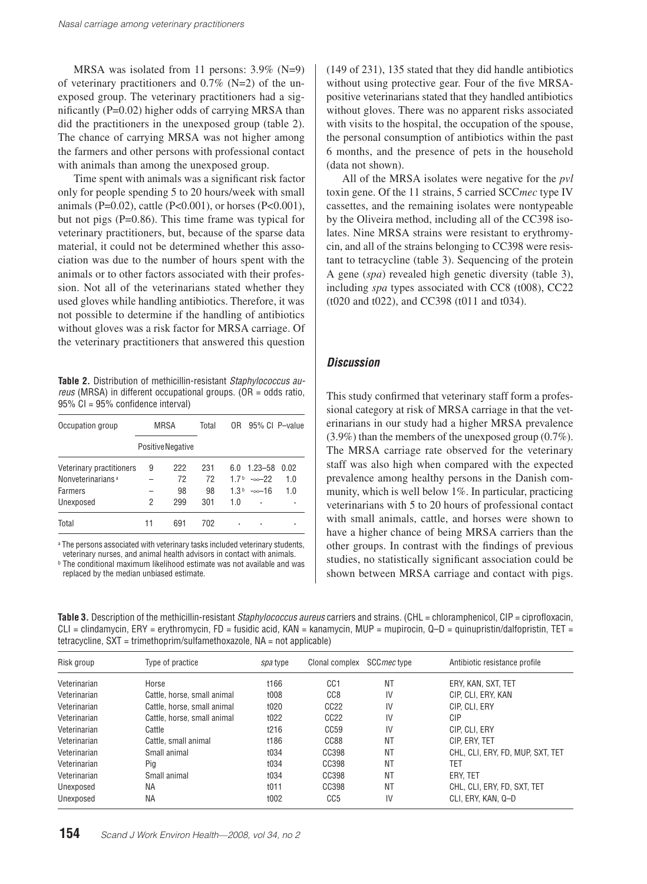MRSA was isolated from 11 persons: 3.9% (N=9) of veterinary practitioners and  $0.7\%$  (N=2) of the unexposed group. The veterinary practitioners had a significantly (P=0.02) higher odds of carrying MRSA than did the practitioners in the unexposed group (table 2). The chance of carrying MRSA was not higher among the farmers and other persons with professional contact with animals than among the unexposed group.

Time spent with animals was a significant risk factor only for people spending 5 to 20 hours/week with small animals (P=0.02), cattle (P<0.001), or horses (P<0.001), but not pigs (P=0.86). This time frame was typical for veterinary practitioners, but, because of the sparse data material, it could not be determined whether this association was due to the number of hours spent with the animals or to other factors associated with their profession. Not all of the veterinarians stated whether they used gloves while handling antibiotics. Therefore, it was not possible to determine if the handling of antibiotics without gloves was a risk factor for MRSA carriage. Of the veterinary practitioners that answered this question

**Table 2.** Distribution of methicillin-resistant *Staphylococcus aureus* (MRSA) in different occupational groups. (OR = odds ratio, 95% CI = 95% confidence interval)

| Occupation group              | MRSA |                   | Total | 0R  | 95% CI P-value       |      |
|-------------------------------|------|-------------------|-------|-----|----------------------|------|
|                               |      | Positive Negative |       |     |                      |      |
| Veterinary practitioners      | 9    | 222               | 231   | 60  | $1.23 - 58$          | 0 02 |
| Nonveterinarians <sup>a</sup> |      | 72                | 72    |     | $17b - \infty - 22$  | 1.0  |
| <b>Farmers</b>                |      | 98                | 98    |     | $1.3b - \infty - 16$ | 1.0  |
| Unexposed                     | 2    | 299               | 301   | 1.0 | ٠                    |      |
| Total                         | 11   | 691               | 702   | ٠   | ٠                    |      |

a The persons associated with veterinary tasks included veterinary students, veterinary nurses, and animal health advisors in contact with animals.

b The conditional maximum likelihood estimate was not available and was replaced by the median unbiased estimate.

(149 of 231), 135 stated that they did handle antibiotics without using protective gear. Four of the five MRSApositive veterinarians stated that they handled antibiotics without gloves. There was no apparent risks associated with visits to the hospital, the occupation of the spouse, the personal consumption of antibiotics within the past 6 months, and the presence of pets in the household (data not shown).

All of the MRSA isolates were negative for the *pvl*  toxin gene. Of the 11 strains, 5 carried SCC*mec* type IV cassettes, and the remaining isolates were nontypeable by the Oliveira method, including all of the CC398 isolates. Nine MRSA strains were resistant to erythromycin, and all of the strains belonging to CC398 were resistant to tetracycline (table 3). Sequencing of the protein A gene (*spa*) revealed high genetic diversity (table 3), including *spa* types associated with CC8 (t008), CC22 (t020 and t022), and CC398 (t011 and t034).

#### *Discussion*

This study confirmed that veterinary staff form a professional category at risk of MRSA carriage in that the veterinarians in our study had a higher MRSA prevalence (3.9%) than the members of the unexposed group (0.7%). The MRSA carriage rate observed for the veterinary staff was also high when compared with the expected prevalence among healthy persons in the Danish community, which is well below 1%. In particular, practicing veterinarians with 5 to 20 hours of professional contact with small animals, cattle, and horses were shown to have a higher chance of being MRSA carriers than the other groups. In contrast with the findings of previous studies, no statistically significant association could be shown between MRSA carriage and contact with pigs.

**Table 3.** Description of the methicillin-resistant *Staphylococcus aureus* carriers and strains. (CHL = chloramphenicol, CIP = ciprofloxacin,  $CLI =$  clindamycin, ERY = erythromycin, FD = fusidic acid, KAN = kanamycin, MUP = mupirocin, Q-D = quinupristin/dalfopristin, TET = tetracycline, SXT = trimethoprim/sulfamethoxazole, NA = not applicable)

| Risk group   | Type of practice            | spa type | Clonal complex   | SCC mec type | Antibiotic resistance profile    |
|--------------|-----------------------------|----------|------------------|--------------|----------------------------------|
| Veterinarian | Horse                       | t166     | CC <sub>1</sub>  | ΝT           | ERY, KAN, SXT, TET               |
| Veterinarian | Cattle, horse, small animal | t008     | CC <sub>8</sub>  | IV           | CIP, CLI, ERY, KAN               |
| Veterinarian | Cattle, horse, small animal | t020     | CC <sub>22</sub> | IV           | CIP. CLI. ERY                    |
| Veterinarian | Cattle, horse, small animal | t022     | CC <sub>22</sub> | IV           | CIP                              |
| Veterinarian | Cattle                      | t216     | CC59             | IV           | CIP. CLI. ERY                    |
| Veterinarian | Cattle, small animal        | t186     | CC88             | ΝT           | CIP. ERY. TET                    |
| Veterinarian | Small animal                | t034     | CC398            | ΝT           | CHL, CLI, ERY, FD, MUP, SXT, TET |
| Veterinarian | Pig                         | t034     | CC398            | <b>NT</b>    | TET                              |
| Veterinarian | Small animal                | t034     | CC398            | ΝT           | ERY. TET                         |
| Unexposed    | ΝA                          | t011     | CC398            | ΝT           | CHL, CLI, ERY, FD, SXT, TET      |
| Unexposed    | <b>NA</b>                   | t002     | CC <sub>5</sub>  | IV           | CLI. ERY. KAN. Q-D               |
|              |                             |          |                  |              |                                  |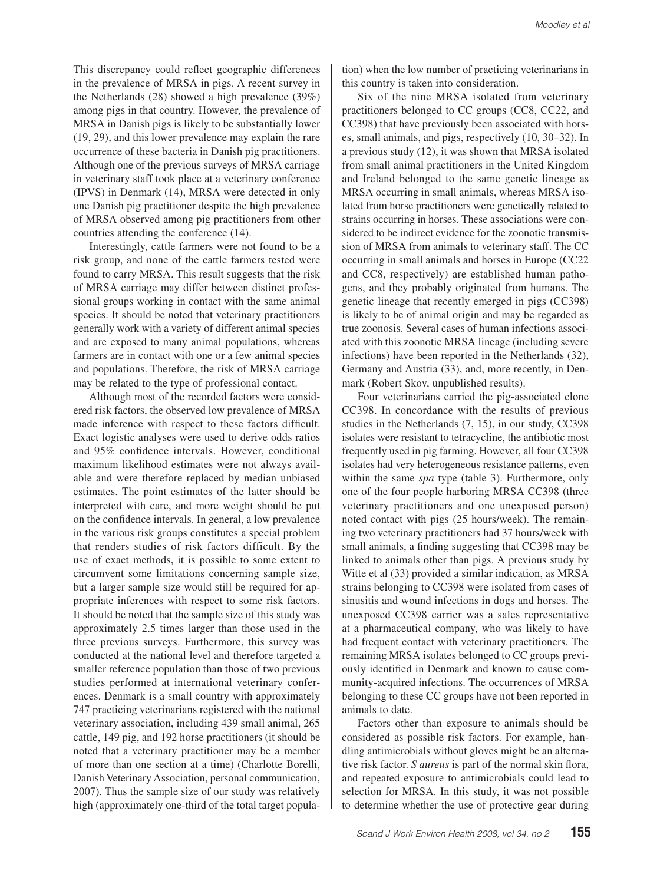This discrepancy could reflect geographic differences in the prevalence of MRSA in pigs. A recent survey in the Netherlands (28) showed a high prevalence (39%) among pigs in that country. However, the prevalence of MRSA in Danish pigs is likely to be substantially lower (19, 29), and this lower prevalence may explain the rare occurrence of these bacteria in Danish pig practitioners. Although one of the previous surveys of MRSA carriage in veterinary staff took place at a veterinary conference (IPVS) in Denmark (14), MRSA were detected in only one Danish pig practitioner despite the high prevalence of MRSA observed among pig practitioners from other countries attending the conference (14).

Interestingly, cattle farmers were not found to be a risk group, and none of the cattle farmers tested were found to carry MRSA. This result suggests that the risk of MRSA carriage may differ between distinct professional groups working in contact with the same animal species. It should be noted that veterinary practitioners generally work with a variety of different animal species and are exposed to many animal populations, whereas farmers are in contact with one or a few animal species and populations. Therefore, the risk of MRSA carriage may be related to the type of professional contact.

Although most of the recorded factors were considered risk factors, the observed low prevalence of MRSA made inference with respect to these factors difficult. Exact logistic analyses were used to derive odds ratios and 95% confidence intervals. However, conditional maximum likelihood estimates were not always available and were therefore replaced by median unbiased estimates. The point estimates of the latter should be interpreted with care, and more weight should be put on the confidence intervals. In general, a low prevalence in the various risk groups constitutes a special problem that renders studies of risk factors difficult. By the use of exact methods, it is possible to some extent to circumvent some limitations concerning sample size, but a larger sample size would still be required for appropriate inferences with respect to some risk factors. It should be noted that the sample size of this study was approximately 2.5 times larger than those used in the three previous surveys. Furthermore, this survey was conducted at the national level and therefore targeted a smaller reference population than those of two previous studies performed at international veterinary conferences. Denmark is a small country with approximately 747 practicing veterinarians registered with the national veterinary association, including 439 small animal, 265 cattle, 149 pig, and 192 horse practitioners (it should be noted that a veterinary practitioner may be a member of more than one section at a time) (Charlotte Borelli, Danish Veterinary Association, personal communication, 2007). Thus the sample size of our study was relatively high (approximately one-third of the total target population) when the low number of practicing veterinarians in this country is taken into consideration.

Six of the nine MRSA isolated from veterinary practitioners belonged to CC groups (CC8, CC22, and CC398) that have previously been associated with horses, small animals, and pigs, respectively (10, 30–32). In a previous study (12), it was shown that MRSA isolated from small animal practitioners in the United Kingdom and Ireland belonged to the same genetic lineage as MRSA occurring in small animals, whereas MRSA isolated from horse practitioners were genetically related to strains occurring in horses. These associations were considered to be indirect evidence for the zoonotic transmission of MRSA from animals to veterinary staff. The CC occurring in small animals and horses in Europe (CC22 and CC8, respectively) are established human pathogens, and they probably originated from humans. The genetic lineage that recently emerged in pigs (CC398) is likely to be of animal origin and may be regarded as true zoonosis. Several cases of human infections associated with this zoonotic MRSA lineage (including severe infections) have been reported in the Netherlands (32), Germany and Austria (33), and, more recently, in Denmark (Robert Skov, unpublished results).

Four veterinarians carried the pig-associated clone CC398. In concordance with the results of previous studies in the Netherlands (7, 15), in our study, CC398 isolates were resistant to tetracycline, the antibiotic most frequently used in pig farming. However, all four CC398 isolates had very heterogeneous resistance patterns, even within the same *spa* type (table 3). Furthermore, only one of the four people harboring MRSA CC398 (three veterinary practitioners and one unexposed person) noted contact with pigs (25 hours/week). The remaining two veterinary practitioners had 37 hours/week with small animals, a finding suggesting that CC398 may be linked to animals other than pigs. A previous study by Witte et al (33) provided a similar indication, as MRSA strains belonging to CC398 were isolated from cases of sinusitis and wound infections in dogs and horses. The unexposed CC398 carrier was a sales representative at a pharmaceutical company, who was likely to have had frequent contact with veterinary practitioners. The remaining MRSA isolates belonged to CC groups previously identified in Denmark and known to cause community-acquired infections. The occurrences of MRSA belonging to these CC groups have not been reported in animals to date.

Factors other than exposure to animals should be considered as possible risk factors. For example, handling antimicrobials without gloves might be an alternative risk factor. *S aureus* is part of the normal skin flora, and repeated exposure to antimicrobials could lead to selection for MRSA. In this study, it was not possible to determine whether the use of protective gear during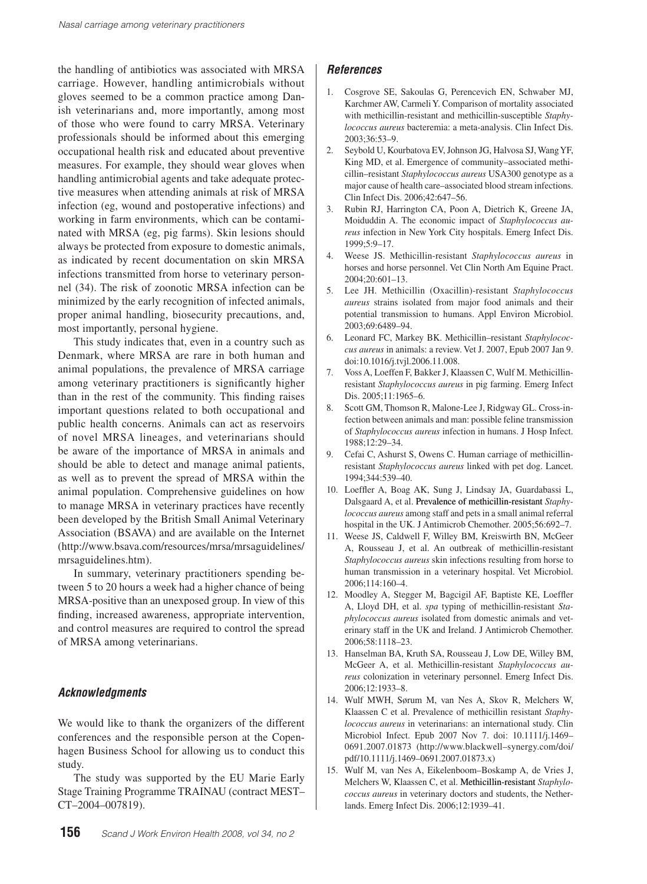the handling of antibiotics was associated with MRSA carriage. However, handling antimicrobials without gloves seemed to be a common practice among Danish veterinarians and, more importantly, among most of those who were found to carry MRSA. Veterinary professionals should be informed about this emerging occupational health risk and educated about preventive measures. For example, they should wear gloves when handling antimicrobial agents and take adequate protective measures when attending animals at risk of MRSA infection (eg, wound and postoperative infections) and working in farm environments, which can be contaminated with MRSA (eg, pig farms). Skin lesions should always be protected from exposure to domestic animals, as indicated by recent documentation on skin MRSA infections transmitted from horse to veterinary personnel (34). The risk of zoonotic MRSA infection can be minimized by the early recognition of infected animals, proper animal handling, biosecurity precautions, and, most importantly, personal hygiene.

This study indicates that, even in a country such as Denmark, where MRSA are rare in both human and animal populations, the prevalence of MRSA carriage among veterinary practitioners is significantly higher than in the rest of the community. This finding raises important questions related to both occupational and public health concerns. Animals can act as reservoirs of novel MRSA lineages, and veterinarians should be aware of the importance of MRSA in animals and should be able to detect and manage animal patients, as well as to prevent the spread of MRSA within the animal population. Comprehensive guidelines on how to manage MRSA in veterinary practices have recently been developed by the British Small Animal Veterinary Association (BSAVA) and are available on the Internet (http://www.bsava.com/resources/mrsa/mrsaguidelines/ mrsaguidelines.htm).

In summary, veterinary practitioners spending between 5 to 20 hours a week had a higher chance of being MRSA-positive than an unexposed group. In view of this finding, increased awareness, appropriate intervention, and control measures are required to control the spread of MRSA among veterinarians.

## *Acknowledgments*

We would like to thank the organizers of the different conferences and the responsible person at the Copenhagen Business School for allowing us to conduct this study.

The study was supported by the EU Marie Early Stage Training Programme TRAINAU (contract MEST– CT–2004–007819).

## *References*

- 1. Cosgrove SE, Sakoulas G, Perencevich EN, Schwaber MJ, Karchmer AW, Carmeli Y. Comparison of mortality associated with methicillin-resistant and methicillin-susceptible *Staphylococcus aureus* bacteremia: a meta-analysis. Clin Infect Dis. 2003;36:53–9.
- 2. Seybold U, Kourbatova EV, Johnson JG, Halvosa SJ, Wang YF, King MD, et al. Emergence of community–associated methicillin–resistant *Staphylococcus aureus* USA300 genotype as a major cause of health care–associated blood stream infections. Clin Infect Dis. 2006;42:647–56.
- 3. Rubin RJ, Harrington CA, Poon A, Dietrich K, Greene JA, Moiduddin A. The economic impact of *Staphylococcus aureus* infection in New York City hospitals. Emerg Infect Dis. 1999;5:9–17.
- 4. Weese JS. Methicillin-resistant *Staphylococcus aureus* in horses and horse personnel. Vet Clin North Am Equine Pract. 2004;20:601–13.
- 5. Lee JH. Methicillin (Oxacillin)-resistant *Staphylococcus aureus* strains isolated from major food animals and their potential transmission to humans. Appl Environ Microbiol. 2003;69:6489–94.
- 6. Leonard FC, Markey BK. Methicillin–resistant *Staphylococcus aureus* in animals: a review. Vet J. 2007, Epub 2007 Jan 9. doi:10.1016/j.tvjl.2006.11.008.
- 7. Voss A, Loeffen F, Bakker J, Klaassen C, Wulf M. Methicillinresistant *Staphylococcus aureus* in pig farming. Emerg Infect Dis. 2005;11:1965–6.
- Scott GM, Thomson R, Malone-Lee J, Ridgway GL. Cross-infection between animals and man: possible feline transmission of *Staphylococcus aureus* infection in humans. J Hosp Infect. 1988;12:29–34.
- 9. Cefai C, Ashurst S, Owens C. Human carriage of methicillinresistant *Staphylococcus aureus* linked with pet dog. Lancet. 1994;344:539–40.
- 10. Loeffler A, Boag AK, Sung J, Lindsay JA, Guardabassi L, Dalsgaard A, et al. Prevalence of methicillin-resistant *Staphylococcus aureus* among staff and pets in a small animal referral hospital in the UK. J Antimicrob Chemother. 2005;56:692–7.
- 11. Weese JS, Caldwell F, Willey BM, Kreiswirth BN, McGeer A, Rousseau J, et al. An outbreak of methicillin-resistant *Staphylococcus aureus* skin infections resulting from horse to human transmission in a veterinary hospital. Vet Microbiol. 2006;114:160–4.
- 12. Moodley A, Stegger M, Bagcigil AF, Baptiste KE, Loeffler A, Lloyd DH, et al. *spa* typing of methicillin-resistant *Staphylococcus aureus* isolated from domestic animals and veterinary staff in the UK and Ireland. J Antimicrob Chemother. 2006;58:1118–23.
- 13. Hanselman BA, Kruth SA, Rousseau J, Low DE, Willey BM, McGeer A, et al. Methicillin-resistant *Staphylococcus aureus* colonization in veterinary personnel. Emerg Infect Dis. 2006;12:1933–8.
- 14. Wulf MWH, Sørum M, van Nes A, Skov R, Melchers W, Klaassen C et al. Prevalence of methicillin resistant *Staphylococcus aureus* in veterinarians: an international study. Clin Microbiol Infect. Epub 2007 Nov 7. doi: 10.1111/j.1469– 0691.2007.01873 (http://www.blackwell–synergy.com/doi/ pdf/10.1111/j.1469–0691.2007.01873.x)
- 15. Wulf M, van Nes A, Eikelenboom–Boskamp A, de Vries J, Melchers W, Klaassen C, et al. Methicillin-resistant *Staphylococcus aureus* in veterinary doctors and students, the Netherlands. Emerg Infect Dis. 2006;12:1939–41.